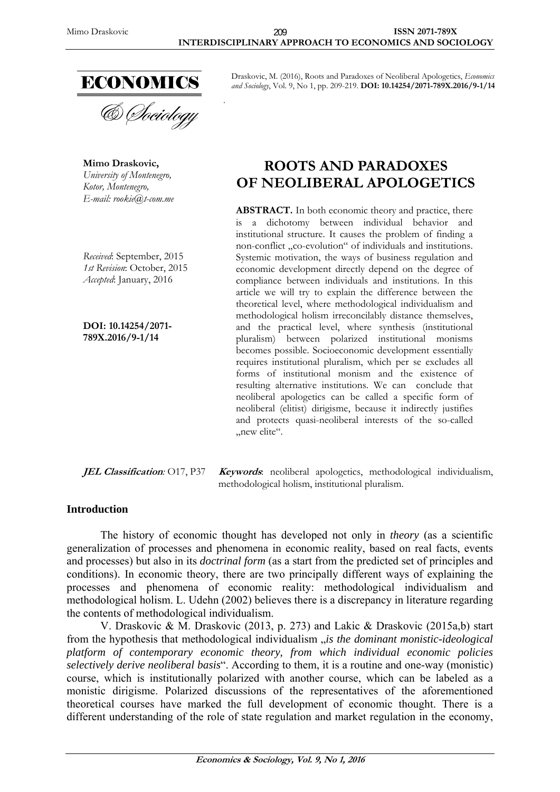

**Mimo Draskovic,**  *University of Montenegro, Kotor, Montenegro, E-mail: rookie@t-com.me* 

*Received*: September, 2015 *1st Revision*: October, 2015 *Accepted*: January, 2016

**DOI: 10.14254/2071- 789X.2016/9-1/14**

Draskovic, M. (2016), Roots and Paradoxes of Neoliberal Apologetics, *Economics and Sociology*, Vol. 9, No 1, pp. 209-219. **DOI: 10.14254/2071-789X.2016/9-1/14**

# **ROOTS AND PARADOXES OF NEOLIBERAL APOLOGETICS**

ABSTRACT. In both economic theory and practice, there is a dichotomy between individual behavior and institutional structure. It causes the problem of finding a non-conflict "co-evolution" of individuals and institutions. Systemic motivation, the ways of business regulation and economic development directly depend on the degree of compliance between individuals and institutions. In this article we will try to explain the difference between the theoretical level, where methodological individualism and methodological holism irreconcilably distance themselves, and the practical level, where synthesis (institutional pluralism) between polarized institutional monisms becomes possible. Socioeconomic development essentially requires institutional pluralism, which per se excludes all forms of institutional monism and the existence of resulting alternative institutions. We can conclude that neoliberal apologetics can be called a specific form of neoliberal (elitist) dirigisme, because it indirectly justifies and protects quasi-neoliberal interests of the so-called "new elite".

**JEL Classification***:* O17, P37 **Keywords**: neoliberal apologetics, methodological individualism, methodological holism, institutional pluralism.

### **Introduction**

The history of economic thought has developed not only in *theory* (as a scientific generalization of processes and phenomena in economic reality, based on real facts, events and processes) but also in its *doctrinal form* (as a start from the predicted set of principles and conditions). In economic theory, there are two principally different ways of explaining the processes and phenomena of economic reality: methodological individualism and methodological holism. L. Udehn (2002) believes there is a discrepancy in literature regarding the contents of methodological individualism.

V. Draskovic & M. Draskovic (2013, p. 273) and Lakic & Draskovic (2015a,b) start from the hypothesis that methodological individualism *<sub>is</sub> the dominant monistic-ideological platform of contemporary economic theory, from which individual economic policies selectively derive neoliberal basis*". According to them, it is a routine and one-way (monistic) course, which is institutionally polarized with another course, which can be labeled as a monistic dirigisme. Polarized discussions of the representatives of the aforementioned theoretical courses have marked the full development of economic thought. There is a different understanding of the role of state regulation and market regulation in the economy,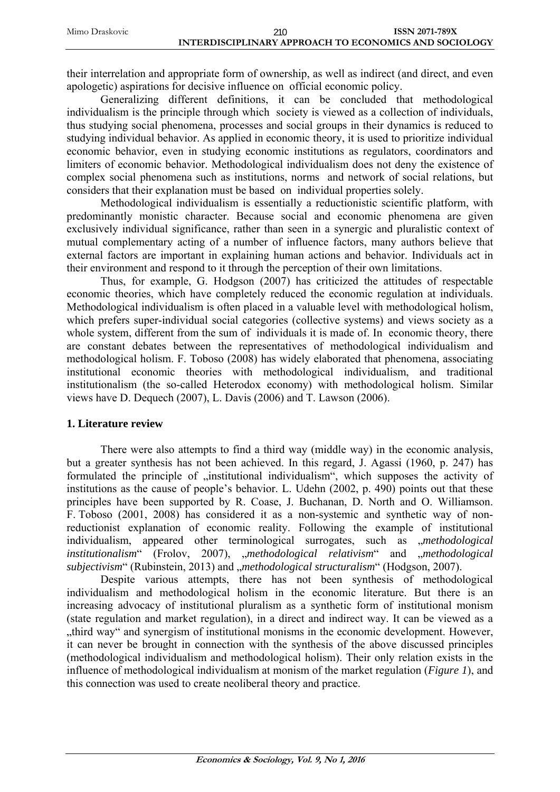their interrelation and appropriate form of ownership, as well as indirect (and direct, and even apologetic) aspirations for decisive influence on official economic policy.

Generalizing different definitions, it can be concluded that methodological individualism is the principle through which society is viewed as a collection of individuals, thus studying social phenomena, processes and social groups in their dynamics is reduced to studying individual behavior. As applied in economic theory, it is used to prioritize individual economic behavior, even in studying economic institutions as regulators, coordinators and limiters of economic behavior. Methodological individualism does not deny the existence of complex social phenomena such as institutions, norms and network of social relations, but considers that their explanation must be based on individual properties solely.

Methodological individualism is essentially a reductionistic scientific platform, with predominantly monistic character. Because social and economic phenomena are given exclusively individual significance, rather than seen in a synergic and pluralistic context of mutual complementary acting of a number of influence factors, many authors believe that external factors are important in explaining human actions and behavior. Individuals act in their environment and respond to it through the perception of their own limitations.

Thus, for example, G. Hodgson (2007) has criticized the attitudes of respectable economic theories, which have completely reduced the economic regulation at individuals. Methodological individualism is often placed in a valuable level with methodological holism, which prefers super-individual social categories (collective systems) and views society as a whole system, different from the sum of individuals it is made of. In economic theory, there are constant debates between the representatives of methodological individualism and methodological holism. F. Toboso (2008) has widely elaborated that phenomena, associating institutional economic theories with methodological individualism, and traditional institutionalism (the so-called Heterodox economy) with methodological holism. Similar views have D. Dequech (2007), L. Davis (2006) and T. Lawson (2006).

### **1. Literature review**

There were also attempts to find a third way (middle way) in the economic analysis, but a greater synthesis has not been achieved. In this regard, J. Agassi (1960, p. 247) has formulated the principle of "institutional individualism", which supposes the activity of institutions as the cause of people's behavior. L. Udehn (2002, p. 490) points out that these principles have been supported by R. Coase, J. Buchanan, D. North and O. Williamson. F. Toboso (2001, 2008) has considered it as a non-systemic and synthetic way of nonreductionist explanation of economic reality. Following the example of institutional individualism, appeared other terminological surrogates, such as *methodological institutionalism*" (Frolov, 2007), "*methodological relativism*" and "*methodological subjectivism*" (Rubinstein, 2013) and *"methodological structuralism*" (Hodgson, 2007).

Despite various attempts, there has not been synthesis of methodological individualism and methodological holism in the economic literature. But there is an increasing advocacy of institutional pluralism as a synthetic form of institutional monism (state regulation and market regulation), in a direct and indirect way. It can be viewed as a "third way" and synergism of institutional monisms in the economic development. However, it can never be brought in connection with the synthesis of the above discussed principles (methodological individualism and methodological holism). Their only relation exists in the influence of methodological individualism at monism of the market regulation (*Figure 1*), and this connection was used to create neoliberal theory and practice.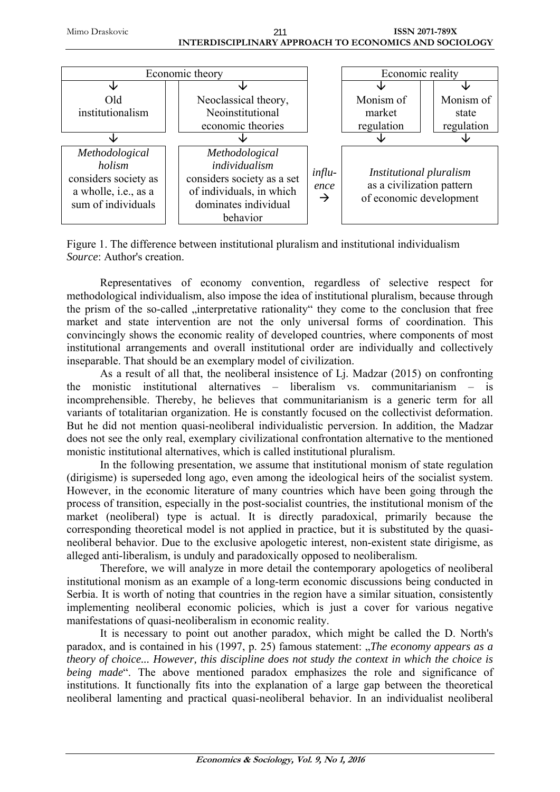**INTERDISCIPLINARY APPROACH TO ECONOMICS AND SOCIOLOGY**  211



Figure 1. The difference between institutional pluralism and institutional individualism *Source*: Author's creation.

Representatives of economy convention, regardless of selective respect for methodological individualism, also impose the idea of institutional pluralism, because through the prism of the so-called "interpretative rationality" they come to the conclusion that free market and state intervention are not the only universal forms of coordination. This convincingly shows the economic reality of developed countries, where components of most institutional arrangements and overall institutional order are individually and collectively inseparable. That should be an exemplary model of civilization.

As a result of all that, the neoliberal insistence of Lj. Madzar (2015) on confronting the monistic institutional alternatives – liberalism vs. communitarianism – is incomprehensible. Thereby, he believes that communitarianism is a generic term for all variants of totalitarian organization. He is constantly focused on the collectivist deformation. But he did not mention quasi-neoliberal individualistic perversion. In addition, the Madzar does not see the only real, exemplary civilizational confrontation alternative to the mentioned monistic institutional alternatives, which is called institutional pluralism.

In the following presentation, we assume that institutional monism of state regulation (dirigisme) is superseded long ago, even among the ideological heirs of the socialist system. However, in the economic literature of many countries which have been going through the process of transition, especially in the post-socialist countries, the institutional monism of the market (neoliberal) type is actual. It is directly paradoxical, primarily because the corresponding theoretical model is not applied in practice, but it is substituted by the quasineoliberal behavior. Due to the exclusive apologetic interest, non-existent state dirigisme, as alleged anti-liberalism, is unduly and paradoxically opposed to neoliberalism.

Therefore, we will analyze in more detail the contemporary apologetics of neoliberal institutional monism as an example of a long-term economic discussions being conducted in Serbia. It is worth of noting that countries in the region have a similar situation, consistently implementing neoliberal economic policies, which is just a cover for various negative manifestations of quasi-neoliberalism in economic reality.

It is necessary to point out another paradox, which might be called the D. North's paradox, and is contained in his (1997, p. 25) famous statement: "*The economy appears as a theory of choice... However, this discipline does not study the context in which the choice is being made*". The above mentioned paradox emphasizes the role and significance of institutions. It functionally fits into the explanation of a large gap between the theoretical neoliberal lamenting and practical quasi-neoliberal behavior. In an individualist neoliberal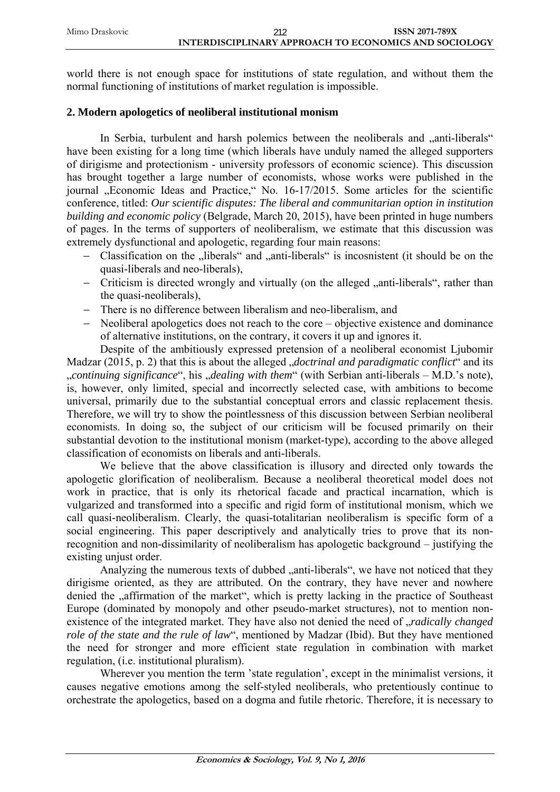world there is not enough space for institutions of state regulation, and without them the normal functioning of institutions of market regulation is impossible.

# **2. Modern apologetics of neoliberal institutional monism**

In Serbia, turbulent and harsh polemics between the neoliberals and "anti-liberals" have been existing for a long time (which liberals have unduly named the alleged supporters of dirigisme and protectionism - university professors of economic science). This discussion has brought together a large number of economists, whose works were published in the journal "Economic Ideas and Practice," No. 16-17/2015. Some articles for the scientific conference, titled: *Our scientific disputes: The liberal and communitarian option in institution building and economic policy* (Belgrade, March 20, 2015), have been printed in huge numbers of pages. In the terms of supporters of neoliberalism, we estimate that this discussion was extremely dysfunctional and apologetic, regarding four main reasons:

- − Classification on the "liberals" and "anti-liberals" is incosnistent (it should be on the quasi-liberals and neo-liberals),
- − Criticism is directed wrongly and virtually (on the alleged "anti-liberals", rather than the quasi-neoliberals),
- − There is no difference between liberalism and neo-liberalism, and
- − Neoliberal apologetics does not reach to the core objective existence and dominance of alternative institutions, on the contrary, it covers it up and ignores it.

Despite of the ambitiously expressed pretension of a neoliberal economist Ljubomir Madzar (2015, p. 2) that this is about the alleged *"doctrinal and paradigmatic conflict*" and its "*continuing significance*", his "*dealing with them*" (with Serbian anti-liberals – M.D.'s note), is, however, only limited, special and incorrectly selected case, with ambitions to become universal, primarily due to the substantial conceptual errors and classic replacement thesis. Therefore, we will try to show the pointlessness of this discussion between Serbian neoliberal economists. In doing so, the subject of our criticism will be focused primarily on their substantial devotion to the institutional monism (market-type), according to the above alleged classification of economists on liberals and anti-liberals.

We believe that the above classification is illusory and directed only towards the apologetic glorification of neoliberalism. Because a neoliberal theoretical model does not work in practice, that is only its rhetorical facade and practical incarnation, which is vulgarized and transformed into a specific and rigid form of institutional monism, which we call quasi-neoliberalism. Clearly, the quasi-totalitarian neoliberalism is specific form of a social engineering. This paper descriptively and analytically tries to prove that its nonrecognition and non-dissimilarity of neoliberalism has apologetic background – justifying the existing unjust order.

Analyzing the numerous texts of dubbed "anti-liberals", we have not noticed that they dirigisme oriented, as they are attributed. On the contrary, they have never and nowhere denied the "affirmation of the market", which is pretty lacking in the practice of Southeast Europe (dominated by monopoly and other pseudo-market structures), not to mention nonexistence of the integrated market. They have also not denied the need of *radically changed role of the state and the rule of law*", mentioned by Madzar (Ibid). But they have mentioned the need for stronger and more efficient state regulation in combination with market regulation, (i.e. institutional pluralism).

Wherever you mention the term 'state regulation', except in the minimalist versions, it causes negative emotions among the self-styled neoliberals, who pretentiously continue to orchestrate the apologetics, based on a dogma and futile rhetoric. Therefore, it is necessary to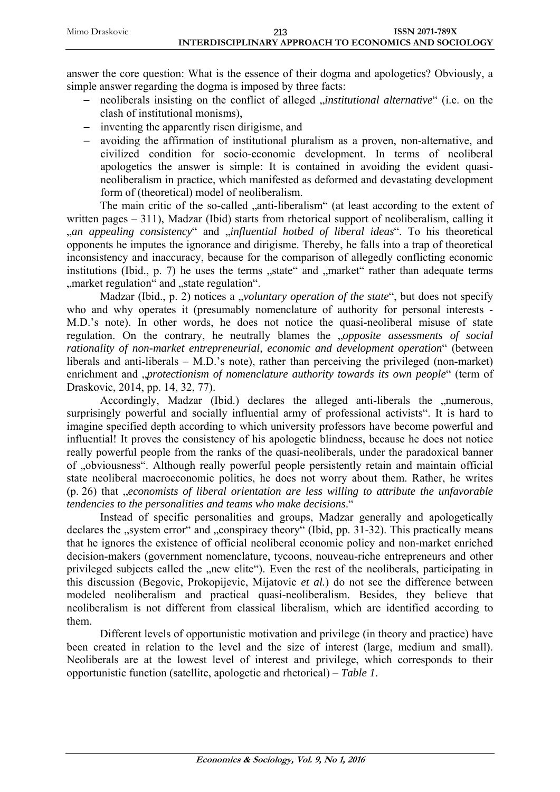answer the core question: What is the essence of their dogma and apologetics? Obviously, a simple answer regarding the dogma is imposed by three facts:

- − neoliberals insisting on the conflict of alleged "*institutional alternative*" (i.e. on the clash of institutional monisms),
- − inventing the apparently risen dirigisme, and
- − avoiding the affirmation of institutional pluralism as a proven, non-alternative, and civilized condition for socio-economic development. In terms of neoliberal apologetics the answer is simple: It is contained in avoiding the evident quasineoliberalism in practice, which manifested as deformed and devastating development form of (theoretical) model of neoliberalism.

The main critic of the so-called "anti-liberalism" (at least according to the extent of written pages – 311), Madzar (Ibid) starts from rhetorical support of neoliberalism, calling it "*an appealing consistency*" and "*influential hotbed of liberal ideas*". To his theoretical opponents he imputes the ignorance and dirigisme. Thereby, he falls into a trap of theoretical inconsistency and inaccuracy, because for the comparison of allegedly conflicting economic institutions (Ibid.,  $p. 7$ ) he uses the terms "state" and "market" rather than adequate terms ", market regulation" and "state regulation".

Madzar (Ibid., p. 2) notices a *"voluntary operation of the state*", but does not specify who and why operates it (presumably nomenclature of authority for personal interests - M.D.'s note). In other words, he does not notice the quasi-neoliberal misuse of state regulation. On the contrary, he neutrally blames the "*opposite assessments of social rationality of non-market entrepreneurial, economic and development operation*" (between liberals and anti-liberals – M.D.'s note), rather than perceiving the privileged (non-market) enrichment and *"protectionism of nomenclature authority towards its own people*" (term of Draskovic, 2014, pp. 14, 32, 77).

Accordingly, Madzar (Ibid.) declares the alleged anti-liberals the "numerous, surprisingly powerful and socially influential army of professional activists". It is hard to imagine specified depth according to which university professors have become powerful and influential! It proves the consistency of his apologetic blindness, because he does not notice really powerful people from the ranks of the quasi-neoliberals, under the paradoxical banner of "obviousness". Although really powerful people persistently retain and maintain official state neoliberal macroeconomic politics, he does not worry about them. Rather, he writes (p. 26) that "*economists of liberal orientation are less willing to attribute the unfavorable tendencies to the personalities and teams who make decisions*."

Instead of specific personalities and groups, Madzar generally and apologetically declares the "system error" and "conspiracy theory" (Ibid, pp. 31-32). This practically means that he ignores the existence of official neoliberal economic policy and non-market enriched decision-makers (government nomenclature, tycoons, nouveau-riche entrepreneurs and other privileged subjects called the "new elite"). Even the rest of the neoliberals, participating in this discussion (Begovic, Prokopijevic, Mijatovic *et al.*) do not see the difference between modeled neoliberalism and practical quasi-neoliberalism. Besides, they believe that neoliberalism is not different from classical liberalism, which are identified according to them.

Different levels of opportunistic motivation and privilege (in theory and practice) have been created in relation to the level and the size of interest (large, medium and small). Neoliberals are at the lowest level of interest and privilege, which corresponds to their opportunistic function (satellite, apologetic and rhetorical) – *Table 1*.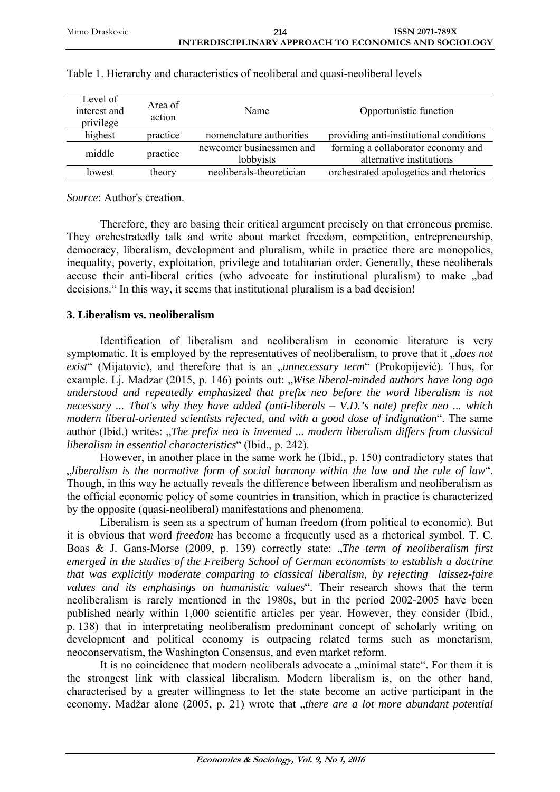| Level of<br>interest and<br>privilege | Area of<br>action | Name                                  | Opportunistic function                                         |
|---------------------------------------|-------------------|---------------------------------------|----------------------------------------------------------------|
| highest                               | practice          | nomenclature authorities              | providing anti-institutional conditions                        |
| middle                                | practice          | newcomer businessmen and<br>lobbyists | forming a collaborator economy and<br>alternative institutions |
| lowest                                | theory            | neoliberals-theoretician              | orchestrated apologetics and rhetorics                         |

|  |  |  | Table 1. Hierarchy and characteristics of neoliberal and quasi-neoliberal levels |
|--|--|--|----------------------------------------------------------------------------------|
|  |  |  |                                                                                  |

*Source*: Author's creation.

Therefore, they are basing their critical argument precisely on that erroneous premise. They orchestratedly talk and write about market freedom, competition, entrepreneurship, democracy, liberalism, development and pluralism, while in practice there are monopolies, inequality, poverty, exploitation, privilege and totalitarian order. Generally, these neoliberals accuse their anti-liberal critics (who advocate for institutional pluralism) to make "bad decisions." In this way, it seems that institutional pluralism is a bad decision!

# **3. Liberalism vs. neoliberalism**

Identification of liberalism and neoliberalism in economic literature is very symptomatic. It is employed by the representatives of neoliberalism, to prove that it *does not* exist<sup>"</sup> (Mijatovic), and therefore that is an *"unnecessary term*" (Prokopijević). Thus, for example. L<sub>J</sub>. Madzar (2015, p. 146) points out: "*Wise liberal-minded authors have long ago understood and repeatedly emphasized that prefix neo before the word liberalism is not necessary ... That's why they have added (anti-liberals – V.D.'s note) prefix neo ... which modern liberal-oriented scientists rejected, and with a good dose of indignation*". The same author (Ibid.) writes: "*The prefix neo is invented ... modern liberalism differs from classical liberalism in essential characteristics*" (Ibid., p. 242).

However, in another place in the same work he (Ibid., p. 150) contradictory states that "*liberalism is the normative form of social harmony within the law and the rule of law*". Though, in this way he actually reveals the difference between liberalism and neoliberalism as the official economic policy of some countries in transition, which in practice is characterized by the opposite (quasi-neoliberal) manifestations and phenomena.

Liberalism is seen as a spectrum of human freedom (from political to economic). But it is obvious that word *freedom* has become a frequently used as a rhetorical symbol. T. C. Boas & J. Gans-Morse (2009, p. 139) correctly state: "*The term of neoliberalism first emerged in the studies of the Freiberg School of German economists to establish a doctrine that was explicitly moderate comparing to classical liberalism, by rejecting laissez-faire values and its emphasings on humanistic values*". Their research shows that the term neoliberalism is rarely mentioned in the 1980s, but in the period 2002-2005 have been published nearly within 1,000 scientific articles per year. However, they consider (Ibid., p. 138) that in interpretating neoliberalism predominant concept of scholarly writing on development and political economy is outpacing related terms such as monetarism, neoconservatism, the Washington Consensus, and even market reform.

It is no coincidence that modern neoliberals advocate a "minimal state". For them it is the strongest link with classical liberalism. Modern liberalism is, on the other hand, characterised by a greater willingness to let the state become an active participant in the economy. Madžar alone (2005, p. 21) wrote that *"there are a lot more abundant potential*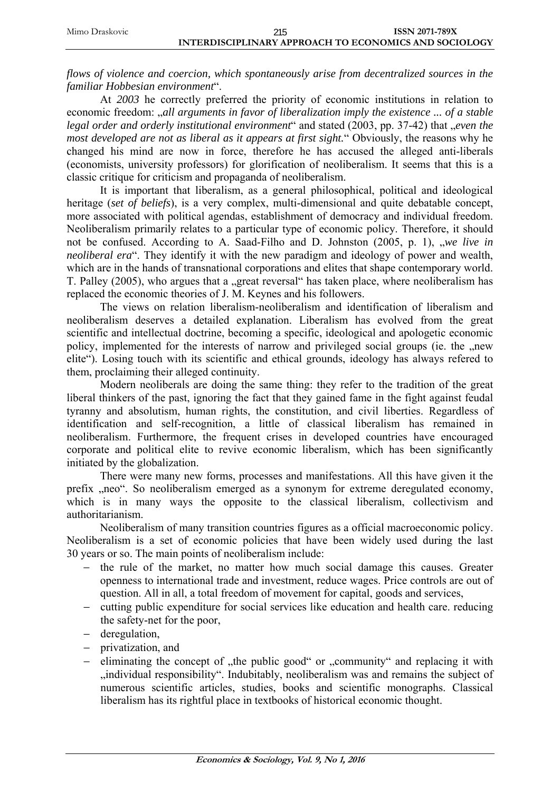| 215                                                   | <b>ISSN 2071-789X</b> |
|-------------------------------------------------------|-----------------------|
| INTERDISCIPLINARY APPROACH TO ECONOMICS AND SOCIOLOGY |                       |

*flows of violence and coercion, which spontaneously arise from decentralized sources in the familiar Hobbesian environment*".

At *2003* he correctly preferred the priority of economic institutions in relation to economic freedom: *"all arguments in favor of liberalization imply the existence ... of a stable legal order and orderly institutional environment*" and stated (2003, pp. 37-42) that *"even the most developed are not as liberal as it appears at first sight.*" Obviously, the reasons why he changed his mind are now in force, therefore he has accused the alleged anti-liberals (economists, university professors) for glorification of neoliberalism. It seems that this is a classic critique for criticism and propaganda of neoliberalism.

It is important that liberalism, as a general philosophical, political and ideological heritage (*set of beliefs*), is a very complex, multi-dimensional and quite debatable concept, more associated with political agendas, establishment of democracy and individual freedom. Neoliberalism primarily relates to a particular type of economic policy. Therefore, it should not be confused. According to A. Saad-Filho and D. Johnston (2005, p. 1), *we live in neoliberal era*". They identify it with the new paradigm and ideology of power and wealth, which are in the hands of transnational corporations and elites that shape contemporary world. T. Palley (2005), who argues that a "great reversal" has taken place, where neoliberalism has replaced the economic theories of J. M. Keynes and his followers.

The views on relation liberalism-neoliberalism and identification of liberalism and neoliberalism deserves a detailed explanation. Liberalism has evolved from the great scientific and intellectual doctrine, becoming a specific, ideological and apologetic economic policy, implemented for the interests of narrow and privileged social groups (ie. the "new elite"). Losing touch with its scientific and ethical grounds, ideology has always refered to them, proclaiming their alleged continuity.

Modern neoliberals are doing the same thing: they refer to the tradition of the great liberal thinkers of the past, ignoring the fact that they gained fame in the fight against feudal tyranny and absolutism, human rights, the constitution, and civil liberties. Regardless of identification and self-recognition, a little of classical liberalism has remained in neoliberalism. Furthermore, the frequent crises in developed countries have encouraged corporate and political elite to revive economic liberalism, which has been significantly initiated by the globalization.

There were many new forms, processes and manifestations. All this have given it the prefix "neo". So neoliberalism emerged as a synonym for extreme deregulated economy, which is in many ways the opposite to the classical liberalism, collectivism and authoritarianism.

Neoliberalism of many transition countries figures as a official macroeconomic policy. Neoliberalism is a set of economic policies that have been widely used during the last 30 years or so. The main points of neoliberalism include:

- − the rule of the market, no matter how much social damage this causes. Greater openness to international trade and investment, reduce wages. Price controls are out of question. All in all, a total freedom of movement for capital, goods and services,
- − cutting public expenditure for social services like education and health care. reducing the safety-net for the poor,
- − deregulation,
- − privatization, and
- − eliminating the concept of "the public good" or "community" and replacing it with "individual responsibility". Indubitably, neoliberalism was and remains the subject of numerous scientific articles, studies, books and scientific monographs. Classical liberalism has its rightful place in textbooks of historical economic thought.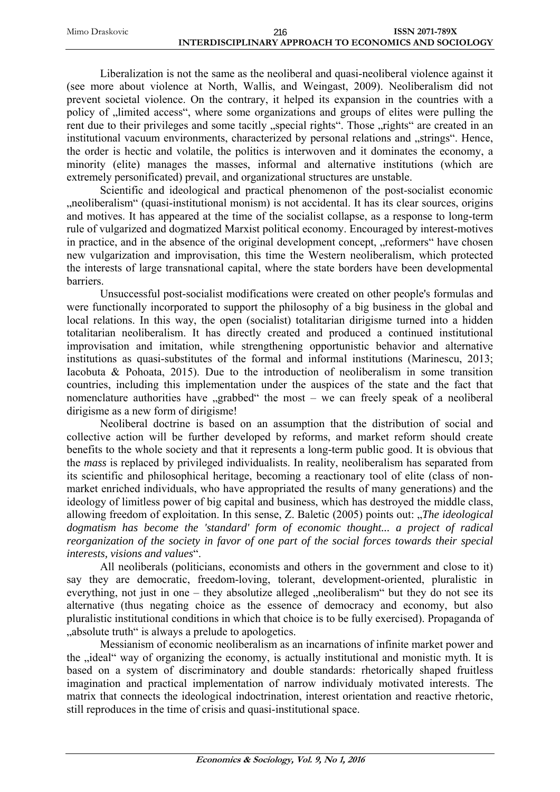| Mimo Draskovic | 216                                                   | <b>ISSN 2071-789X</b> |
|----------------|-------------------------------------------------------|-----------------------|
|                | INTERDISCIPLINARY APPROACH TO ECONOMICS AND SOCIOLOGY |                       |

Liberalization is not the same as the neoliberal and quasi-neoliberal violence against it (see more about violence at North, Wallis, and Weingast, 2009). Neoliberalism did not prevent societal violence. On the contrary, it helped its expansion in the countries with a policy of  $\mu$  limited access", where some organizations and groups of elites were pulling the rent due to their privileges and some tacitly "special rights". Those "rights" are created in an institutional vacuum environments, characterized by personal relations and "strings". Hence, the order is hectic and volatile, the politics is interwoven and it dominates the economy, a minority (elite) manages the masses, informal and alternative institutions (which are extremely personificated) prevail, and organizational structures are unstable.

Scientific and ideological and practical phenomenon of the post-socialist economic ... neoliberalism" (quasi-institutional monism) is not accidental. It has its clear sources, origins and motives. It has appeared at the time of the socialist collapse, as a response to long-term rule of vulgarized and dogmatized Marxist political economy. Encouraged by interest-motives in practice, and in the absence of the original development concept, "reformers" have chosen new vulgarization and improvisation, this time the Western neoliberalism, which protected the interests of large transnational capital, where the state borders have been developmental barriers.

Unsuccessful post-socialist modifications were created on other people's formulas and were functionally incorporated to support the philosophy of a big business in the global and local relations. In this way, the open (socialist) totalitarian dirigisme turned into a hidden totalitarian neoliberalism. It has directly created and produced a continued institutional improvisation and imitation, while strengthening opportunistic behavior and alternative institutions as quasi-substitutes of the formal and informal institutions (Marinescu, 2013; Iacobuta & Pohoata, 2015). Due to the introduction of neoliberalism in some transition countries, including this implementation under the auspices of the state and the fact that nomenclature authorities have  $\sqrt{g}$  grabbed the most – we can freely speak of a neoliberal dirigisme as a new form of dirigisme!

Neoliberal doctrine is based on an assumption that the distribution of social and collective action will be further developed by reforms, and market reform should create benefits to the whole society and that it represents a long-term public good. It is obvious that the *mass* is replaced by privileged individualists. In reality, neoliberalism has separated from its scientific and philosophical heritage, becoming a reactionary tool of elite (class of nonmarket enriched individuals, who have appropriated the results of many generations) and the ideology of limitless power of big capital and business, which has destroyed the middle class, allowing freedom of exploitation. In this sense, Z. Baletic (2005) points out: "*The ideological dogmatism has become the 'standard' form of economic thought... a project of radical reorganization of the society in favor of one part of the social forces towards their special interests, visions and values*".

All neoliberals (politicians, economists and others in the government and close to it) say they are democratic, freedom-loving, tolerant, development-oriented, pluralistic in everything, not just in one – they absolutize alleged  $\alpha$ , neoliberalism  $\alpha$  but they do not see its alternative (thus negating choice as the essence of democracy and economy, but also pluralistic institutional conditions in which that choice is to be fully exercised). Propaganda of ..absolute truth " is always a prelude to apologetics.

Messianism of economic neoliberalism as an incarnations of infinite market power and the "ideal" way of organizing the economy, is actually institutional and monistic myth. It is based on a system of discriminatory and double standards: rhetorically shaped fruitless imagination and practical implementation of narrow individualy motivated interests. The matrix that connects the ideological indoctrination, interest orientation and reactive rhetoric, still reproduces in the time of crisis and quasi-institutional space.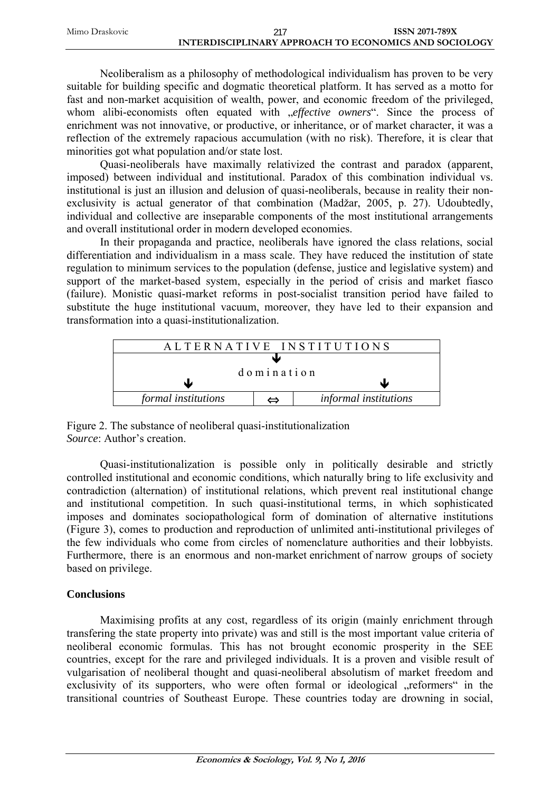| Mimo Draskovic | 217                                                   | <b>ISSN 2071-789X</b> |
|----------------|-------------------------------------------------------|-----------------------|
|                | INTERDISCIPLINARY APPROACH TO ECONOMICS AND SOCIOLOGY |                       |

Neoliberalism as a philosophy of methodological individualism has proven to be very suitable for building specific and dogmatic theoretical platform. It has served as a motto for fast and non-market acquisition of wealth, power, and economic freedom of the privileged, whom alibi-economists often equated with *effective owners*". Since the process of enrichment was not innovative, or productive, or inheritance, or of market character, it was a reflection of the extremely rapacious accumulation (with no risk). Therefore, it is clear that minorities got what population and/or state lost.

Quasi-neoliberals have maximally relativized the contrast and paradox (apparent, imposed) between individual and institutional. Paradox of this combination individual vs. institutional is just an illusion and delusion of quasi-neoliberals, because in reality their nonexclusivity is actual generator of that combination (Madžar, 2005, p. 27). Udoubtedly, individual and collective are inseparable components of the most institutional arrangements and overall institutional order in modern developed economies.

In their propaganda and practice, neoliberals have ignored the class relations, social differentiation and individualism in a mass scale. They have reduced the institution of state regulation to minimum services to the population (defense, justice and legislative system) and support of the market-based system, especially in the period of crisis and market fiasco (failure). Monistic quasi-market reforms in post-socialist transition period have failed to substitute the huge institutional vacuum, moreover, they have led to their expansion and transformation into a quasi-institutionalization.

|                            |  | ALTERNATIVE INSTITUTIONS |  |
|----------------------------|--|--------------------------|--|
|                            |  |                          |  |
| domination                 |  |                          |  |
|                            |  |                          |  |
| <i>formal institutions</i> |  | informal institutions    |  |

Figure 2. The substance of neoliberal quasi-institutionalization *Source*: Author's creation.

Quasi-institutionalization is possible only in politically desirable and strictly controlled institutional and economic conditions, which naturally bring to life exclusivity and contradiction (alternation) of institutional relations, which prevent real institutional change and institutional competition. In such quasi-institutional terms, in which sophisticated imposes and dominates sociopathological form of domination of alternative institutions (Figure 3), comes to production and reproduction of unlimited anti-institutional privileges of the few individuals who come from circles of nomenclature authorities and their lobbyists. Furthermore, there is an enormous and non-market enrichment of narrow groups of society based on privilege.

# **Conclusions**

Maximising profits at any cost, regardless of its origin (mainly enrichment through transfering the state property into private) was and still is the most important value criteria of neoliberal economic formulas. This has not brought economic prosperity in the SEE countries, except for the rare and privileged individuals. It is a proven and visible result of vulgarisation of neoliberal thought and quasi-neoliberal absolutism of market freedom and exclusivity of its supporters, who were often formal or ideological "reformers" in the transitional countries of Southeast Europe. These countries today are drowning in social,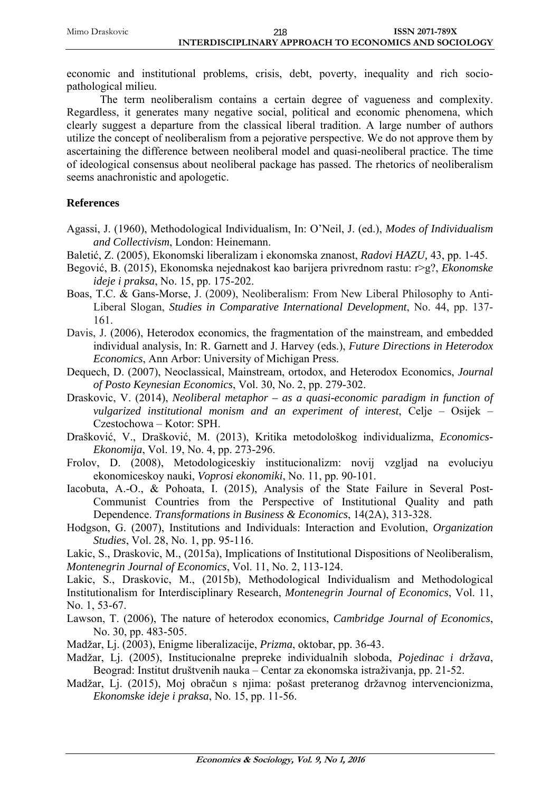economic and institutional problems, crisis, debt, poverty, inequality and rich sociopathological milieu.

The term neoliberalism contains a certain degree of vagueness and complexity. Regardless, it generates many negative social, political and economic phenomena, which clearly suggest a departure from the classical liberal tradition. A large number of authors utilize the concept of neoliberalism from a pejorative perspective. We do not approve them by ascertaining the difference between neoliberal model and quasi-neoliberal practice. The time of ideological consensus about neoliberal package has passed. The rhetorics of neoliberalism seems anachronistic and apologetic.

# **References**

- Agassi, J. (1960), Methodological Individualism, In: O'Neil, J. (ed.), *Modes of Individualism and Collectivism*, London: Heinemann.
- Baletić, Z. (2005), Ekonomski liberalizam i ekonomska znanost, *Radovi HAZU,* 43, pp. 1-45.
- Begović, B. (2015), Ekonomska nejednakost kao barijera privrednom rastu: r>g?, *Ekonomske ideje i praksa*, No. 15, pp. 175-202.
- Boas, T.C. & Gans-Morse, J. (2009), Neoliberalism: From New Liberal Philosophy to Anti-Liberal Slogan, *Studies in Comparative International Development*, No. 44, pp. 137- 161.
- Davis, J. (2006), Heterodox economics, the fragmentation of the mainstream, and embedded individual analysis, In: R. Garnett and J. Harvey (eds.), *Future Directions in Heterodox Economics*, Ann Arbor: University of Michigan Press.
- Dequech, D. (2007), Neoclassical, Mainstream, ortodox, and Heterodox Economics, *Journal of Posto Keynesian Economics*, Vol. 30, No. 2, pp. 279-302.
- Draskovic, V. (2014), *Neoliberal metaphor as a quasi-economic paradigm in function of vulgarized institutional monism and an experiment of interest*, Celje – Osijek – Czestochowa – Kotor: SPH.
- Drašković, V., Drašković, M. (2013), Kritika metodološkog individualizma, *Economics-Ekonomija*, Vol. 19, No. 4, pp. 273-296.
- Frolov, D. (2008), Metodologiceskiy institucionalizm: novij vzgljad na evoluciyu ekonomiceskoy nauki, *Voprosi ekonomiki*, No. 11, pp. 90-101.
- Iacobuta, A.-O., & Pohoata, I. (2015), Analysis of the State Failure in Several Post-Communist Countries from the Perspective of Institutional Quality and path Dependence. *Transformations in Business & Economics*, 14(2A), 313-328.
- Hodgson, G. (2007), Institutions and Individuals: Interaction and Evolution, *Organization Studies*, Vol. 28, No. 1, pp. 95-116.

Lakic, S., Draskovic, M., (2015a), Implications of Institutional Dispositions of Neoliberalism, *Montenegrin Journal of Economics*, Vol. 11, No. 2, 113-124.

Lakic, S., Draskovic, M., (2015b), Methodological Individualism and Methodological Institutionalism for Interdisciplinary Research, *Montenegrin Journal of Economics*, Vol. 11, No. 1, 53-67.

Lawson, T. (2006), The nature of heterodox economics, *Cambridge Journal of Economics*, No. 30, pp. 483-505.

Madžar, Lj. (2003), Enigme liberalizacije, *Prizma*, oktobar, pp. 36-43.

- Madžar, Lj. (2005), Institucionalne prepreke individualnih sloboda, *Pojedinac i država*, Beograd: Institut društvenih nauka – Centar za ekonomska istraživanja, pp. 21-52.
- Madžar, Lj. (2015), Moj obračun s njima: pošast preteranog državnog intervencionizma, *Ekonomske ideje i praksa*, No. 15, pp. 11-56.